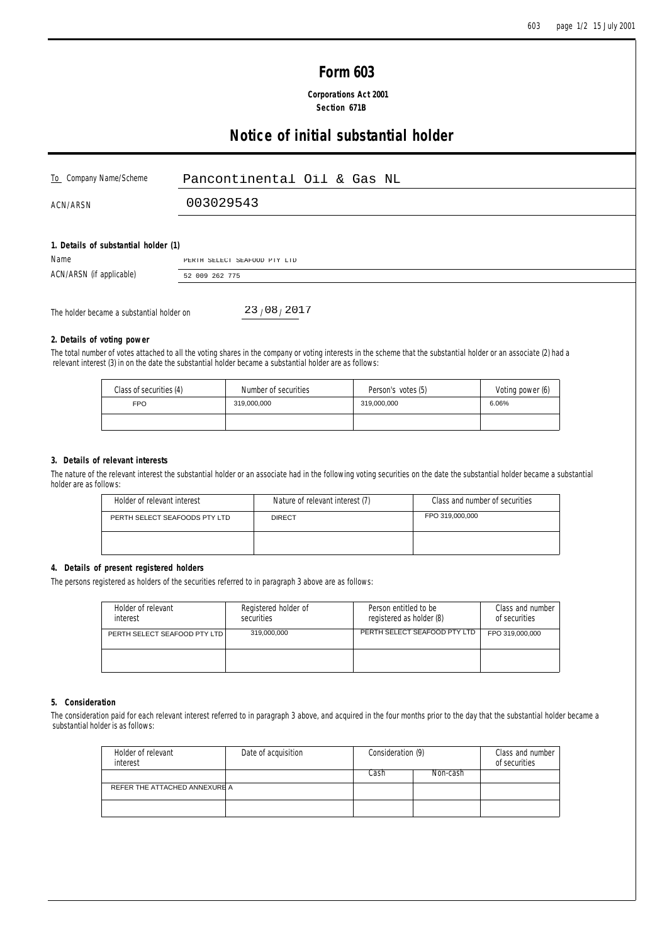# **Form 603**

 **Corporations Act 2001 Section 671B**

# **Notice of initial substantial holder**

| To Company Name/Scheme               | Pancontinental Oil & Gas NL  |
|--------------------------------------|------------------------------|
| ACN/ARSN                             | 003029543                    |
| 1. Details of substantial holder (1) |                              |
| Name                                 | PERTH SELECT SEAFOOD PTY LTD |
| ACN/ARSN (if applicable)             | 52 009 262 775               |

The holder became a substantial holder on

 $23/08/2017$ 

## **2. Details of voting power**

The total number of votes attached to all the voting shares in the company or voting interests in the scheme that the substantial holder or an associate (2) had a relevant interest (3) in on the date the substantial holder became a substantial holder are as follows:

| Class of securities (4) | Number of securities | Person's votes (5) | Voting power (6) |
|-------------------------|----------------------|--------------------|------------------|
| <b>FPO</b>              | 319,000,000          | 319,000,000        | 6.06%            |
|                         |                      |                    |                  |

## **3. Details of relevant interests**

The nature of the relevant interest the substantial holder or an associate had in the following voting securities on the date the substantial holder became a substantial holder are as follows:

| Holder of relevant interest   | Nature of relevant interest (7) | Class and number of securities |
|-------------------------------|---------------------------------|--------------------------------|
| PERTH SELECT SEAFOODS PTY LTD | <b>DIRECT</b>                   | FPO 319,000,000                |
|                               |                                 |                                |

## **4. Details of present registered holders**

The persons registered as holders of the securities referred to in paragraph 3 above are as follows:

| Holder of relevant<br>interest | Registered holder of<br>securities | Person entitled to be<br>registered as holder (8) | Class and number<br>of securities |
|--------------------------------|------------------------------------|---------------------------------------------------|-----------------------------------|
| PERTH SELECT SEAFOOD PTY LTD   | 319.000.000                        | PERTH SELECT SEAFOOD PTY LTD                      | FPO 319,000,000                   |
|                                |                                    |                                                   |                                   |

#### **5. Consideration**

The consideration paid for each relevant interest referred to in paragraph 3 above, and acquired in the four months prior to the day that the substantial holder became a substantial holder is as follows:

| Holder of relevant<br>interest | Date of acquisition | Consideration (9) |          | Class and number<br>of securities |
|--------------------------------|---------------------|-------------------|----------|-----------------------------------|
|                                |                     | Cash.             | Non-cash |                                   |
| REFER THE ATTACHED ANNEXURE A  |                     |                   |          |                                   |
|                                |                     |                   |          |                                   |